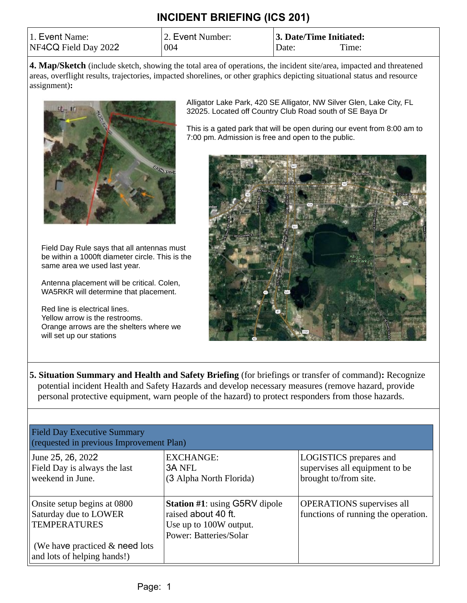| 1. Event Name:       | 2. Event Number: | 3. Date/Time Initiated: |          |
|----------------------|------------------|-------------------------|----------|
| NF4CQ Field Day 2022 | 004              | Date:                   | $T$ ime: |

**4. Map/Sketch** (include sketch, showing the total area of operations, the incident site/area, impacted and threatened areas, overflight results, trajectories, impacted shorelines, or other graphics depicting situational status and resource assignment)**:**



Field Day Rule says that all antennas must be within a 1000ft diameter circle. This is the same area we used last year.

Antenna placement will be critical. Colen, WA5RKR will determine that placement.

Red line is electrical lines. Yellow arrow is the restrooms. Orange arrows are the shelters where we will set up our stations

Alligator Lake Park, 420 SE Alligator, NW Silver Glen, Lake City, FL 32025. Located off Country Club Road south of SE Baya Dr

This is a gated park that will be open during our event from 8:00 am to 7:00 pm. Admission is free and open to the public.



**5. Situation Summary and Health and Safety Briefing** (for briefings or transfer of command)**:** Recognize potential incident Health and Safety Hazards and develop necessary measures (remove hazard, provide personal protective equipment, warn people of the hazard) to protect responders from those hazards.

| <b>Field Day Executive Summary</b><br>(requested in previous Improvement Plan)                                                                |                                                                                                                        |                                                                                          |  |  |
|-----------------------------------------------------------------------------------------------------------------------------------------------|------------------------------------------------------------------------------------------------------------------------|------------------------------------------------------------------------------------------|--|--|
| June 25, 26, 2022<br>Field Day is always the last<br>weekend in June.                                                                         | <b>EXCHANGE:</b><br><b>3A NFL</b><br>(3 Alpha North Florida)                                                           | <b>LOGISTICS</b> prepares and<br>supervises all equipment to be<br>brought to/from site. |  |  |
| Onsite setup begins at 0800<br>Saturday due to LOWER<br><b>TEMPERATURES</b><br>(We have practiced & need lots)<br>and lots of helping hands!) | <b>Station #1: using G5RV dipole</b><br>raised about 40 ft.<br>Use up to 100W output.<br><b>Power: Batteries/Solar</b> | <b>OPERATIONS</b> supervises all<br>functions of running the operation.                  |  |  |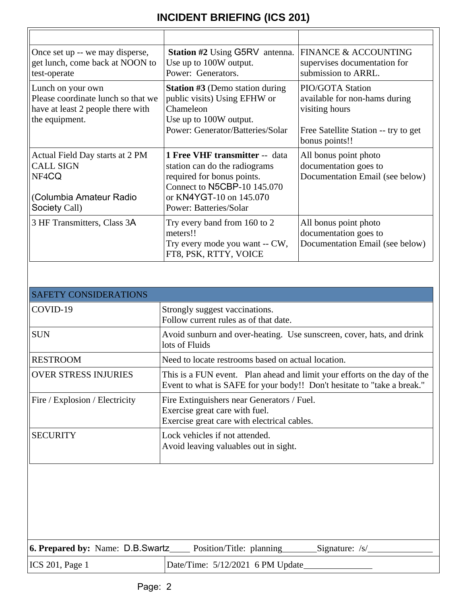| Once set up -- we may disperse,<br>get lunch, come back at NOON to<br>test-operate                             | <b>Station #2 Using G5RV</b> antenna.<br>Use up to 100W output.<br>Power: Generators.                                                                                                    | <b>FINANCE &amp; ACCOUNTING</b><br>supervises documentation for<br>submission to ARRL.                                               |
|----------------------------------------------------------------------------------------------------------------|------------------------------------------------------------------------------------------------------------------------------------------------------------------------------------------|--------------------------------------------------------------------------------------------------------------------------------------|
| Lunch on your own<br>Please coordinate lunch so that we<br>have at least 2 people there with<br>the equipment. | <b>Station #3 (Demo station during</b><br>public visits) Using EFHW or<br>Chameleon<br>Use up to 100W output.<br>Power: Generator/Batteries/Solar                                        | <b>PIO/GOTA Station</b><br>available for non-hams during<br>visiting hours<br>Free Satellite Station -- try to get<br>bonus points!! |
| Actual Field Day starts at 2 PM<br><b>CALL SIGN</b><br>NF4CQ<br>(Columbia Amateur Radio<br>Society Call)       | <b>1 Free VHF transmitter -- data</b><br>station can do the radiograms<br>required for bonus points.<br>Connect to N5CBP-10 145.070<br>or KN4YGT-10 on 145.070<br>Power: Batteries/Solar | All bonus point photo<br>documentation goes to<br>Documentation Email (see below)                                                    |
| 3 HF Transmitters, Class 3A                                                                                    | Try every band from 160 to 2<br>meters!!<br>Try every mode you want -- CW,<br>FT8, PSK, RTTY, VOICE                                                                                      | All bonus point photo<br>documentation goes to<br>Documentation Email (see below)                                                    |

| <b>SAFETY CONSIDERATIONS</b>   |                                                                                                                                                     |
|--------------------------------|-----------------------------------------------------------------------------------------------------------------------------------------------------|
| COVID-19                       | Strongly suggest vaccinations.<br>Follow current rules as of that date.                                                                             |
| <b>SUN</b>                     | Avoid sunburn and over-heating. Use sunscreen, cover, hats, and drink<br>lots of Fluids                                                             |
| <b>RESTROOM</b>                | Need to locate restrooms based on actual location.                                                                                                  |
| <b>OVER STRESS INJURIES</b>    | This is a FUN event. Plan ahead and limit your efforts on the day of the<br>Event to what is SAFE for your body!! Don't hesitate to "take a break." |
| Fire / Explosion / Electricity | Fire Extinguishers near Generators / Fuel.<br>Exercise great care with fuel.<br>Exercise great care with electrical cables.                         |
| <b>SECURITY</b>                | Lock vehicles if not attended.<br>Avoid leaving valuables out in sight.                                                                             |

| 6. Prepared by: Name: D.B.Swartz | <b>Example 1</b> Position/Title: planning<br>Signature: /s/ |
|----------------------------------|-------------------------------------------------------------|
| ICS 201, Page 1                  | Date/Time: 5/12/2021 6 PM Update_                           |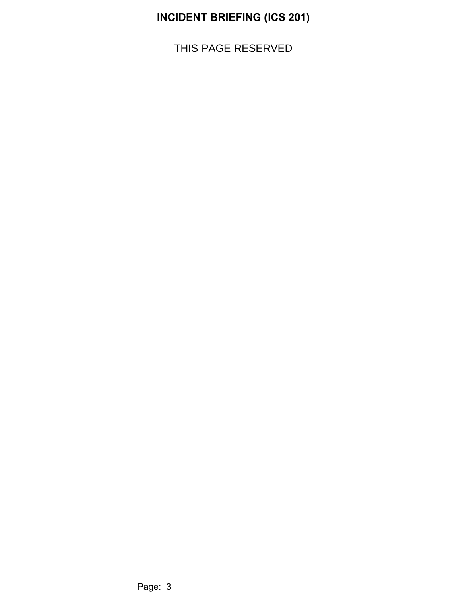THIS PAGE RESERVED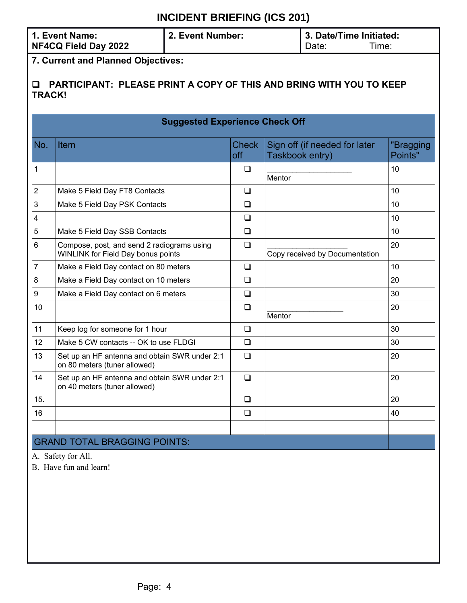| 1. Event Name:       | 2. Event Number: | 3. Date/Time Initiated: |       |
|----------------------|------------------|-------------------------|-------|
| NF4CQ Field Day 2022 |                  | Date:                   | Гіmе: |

**7. Current and Planned Objectives:**

#### q **PARTICIPANT: PLEASE PRINT A COPY OF THIS AND BRING WITH YOU TO KEEP TRACK!**

|                                     | <b>Suggested Experience Check Off</b>                                            |                     |                                                  |                      |  |
|-------------------------------------|----------------------------------------------------------------------------------|---------------------|--------------------------------------------------|----------------------|--|
| No.                                 | Item                                                                             | <b>Check</b><br>off | Sign off (if needed for later<br>Taskbook entry) | "Bragging<br>Points" |  |
| 1                                   |                                                                                  | ❏                   | Mentor                                           | 10                   |  |
| $\overline{c}$                      | Make 5 Field Day FT8 Contacts                                                    | ❏                   |                                                  | 10                   |  |
| $\mathfrak{S}$                      | Make 5 Field Day PSK Contacts                                                    | $\Box$              |                                                  | 10                   |  |
| $\overline{\mathbf{4}}$             |                                                                                  | ❏                   |                                                  | 10                   |  |
| 5                                   | Make 5 Field Day SSB Contacts                                                    | $\Box$              |                                                  | 10                   |  |
| 6                                   | Compose, post, and send 2 radiograms using<br>WINLINK for Field Day bonus points | $\Box$              | Copy received by Documentation                   | 20                   |  |
| 7                                   | Make a Field Day contact on 80 meters                                            | ❏                   |                                                  | 10                   |  |
| 8                                   | Make a Field Day contact on 10 meters                                            | ❏                   |                                                  | 20                   |  |
| 9                                   | Make a Field Day contact on 6 meters                                             | $\Box$              |                                                  | 30                   |  |
| 10                                  |                                                                                  | $\Box$              | Mentor                                           | 20                   |  |
| 11                                  | Keep log for someone for 1 hour                                                  | $\Box$              |                                                  | 30                   |  |
| 12                                  | Make 5 CW contacts -- OK to use FLDGI                                            | $\Box$              |                                                  | 30                   |  |
| 13                                  | Set up an HF antenna and obtain SWR under 2:1<br>on 80 meters (tuner allowed)    | $\Box$              |                                                  | 20                   |  |
| 14                                  | Set up an HF antenna and obtain SWR under 2:1<br>on 40 meters (tuner allowed)    | $\Box$              |                                                  | 20                   |  |
| 15.                                 |                                                                                  | $\Box$              |                                                  | 20                   |  |
| 16                                  |                                                                                  | $\Box$              |                                                  | 40                   |  |
|                                     |                                                                                  |                     |                                                  |                      |  |
| <b>GRAND TOTAL BRAGGING POINTS:</b> |                                                                                  |                     |                                                  |                      |  |

A. Safety for All.

B. Have fun and learn!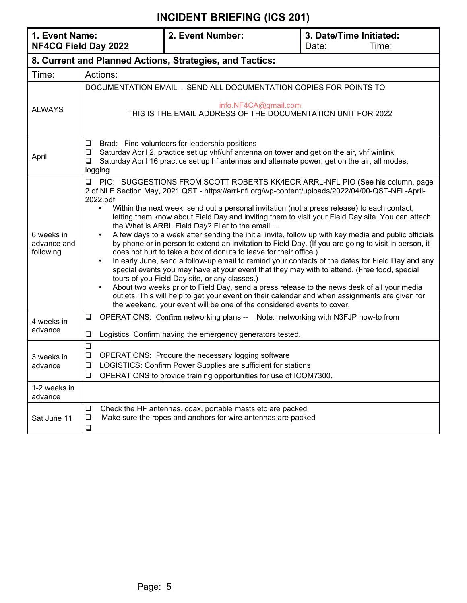| 1. Event Name:<br>NF4CQ Field Day 2022               |                                                                                                                                                                                                                                                                                                                                                                                                                                                                                                                                                                                                                                                                                                                                                                                                                                                                                                                                                                                                                                                                                                                                                                                                                                | 2. Event Number:                                                                                                                                                                                                                              | 3. Date/Time Initiated:<br>Date:<br>Time:                              |
|------------------------------------------------------|--------------------------------------------------------------------------------------------------------------------------------------------------------------------------------------------------------------------------------------------------------------------------------------------------------------------------------------------------------------------------------------------------------------------------------------------------------------------------------------------------------------------------------------------------------------------------------------------------------------------------------------------------------------------------------------------------------------------------------------------------------------------------------------------------------------------------------------------------------------------------------------------------------------------------------------------------------------------------------------------------------------------------------------------------------------------------------------------------------------------------------------------------------------------------------------------------------------------------------|-----------------------------------------------------------------------------------------------------------------------------------------------------------------------------------------------------------------------------------------------|------------------------------------------------------------------------|
|                                                      |                                                                                                                                                                                                                                                                                                                                                                                                                                                                                                                                                                                                                                                                                                                                                                                                                                                                                                                                                                                                                                                                                                                                                                                                                                | 8. Current and Planned Actions, Strategies, and Tactics:                                                                                                                                                                                      |                                                                        |
| Time:                                                | Actions:                                                                                                                                                                                                                                                                                                                                                                                                                                                                                                                                                                                                                                                                                                                                                                                                                                                                                                                                                                                                                                                                                                                                                                                                                       |                                                                                                                                                                                                                                               |                                                                        |
|                                                      |                                                                                                                                                                                                                                                                                                                                                                                                                                                                                                                                                                                                                                                                                                                                                                                                                                                                                                                                                                                                                                                                                                                                                                                                                                | DOCUMENTATION EMAIL -- SEND ALL DOCUMENTATION COPIES FOR POINTS TO                                                                                                                                                                            |                                                                        |
| <b>ALWAYS</b>                                        |                                                                                                                                                                                                                                                                                                                                                                                                                                                                                                                                                                                                                                                                                                                                                                                                                                                                                                                                                                                                                                                                                                                                                                                                                                | info.NF4CA@gmail.com<br>THIS IS THE EMAIL ADDRESS OF THE DOCUMENTATION UNIT FOR 2022                                                                                                                                                          |                                                                        |
| April                                                | $\Box$<br>$\Box$<br>$\Box$<br>logging                                                                                                                                                                                                                                                                                                                                                                                                                                                                                                                                                                                                                                                                                                                                                                                                                                                                                                                                                                                                                                                                                                                                                                                          | Brad: Find volunteers for leadership positions<br>Saturday April 2, practice set up vhf/uhf antenna on tower and get on the air, vhf winlink<br>Saturday April 16 practice set up hf antennas and alternate power, get on the air, all modes, |                                                                        |
| 6 weeks in<br>advance and<br>following               | PIO: SUGGESTIONS FROM SCOTT ROBERTS KK4ECR ARRL-NFL PIO (See his column, page<br>O.<br>2 of NLF Section May, 2021 QST - https://arrl-nfl.org/wp-content/uploads/2022/04/00-QST-NFL-April-<br>2022.pdf<br>Within the next week, send out a personal invitation (not a press release) to each contact,<br>$\bullet$<br>letting them know about Field Day and inviting them to visit your Field Day site. You can attach<br>the What is ARRL Field Day? Flier to the email<br>A few days to a week after sending the initial invite, follow up with key media and public officials<br>by phone or in person to extend an invitation to Field Day. (If you are going to visit in person, it<br>does not hurt to take a box of donuts to leave for their office.)<br>In early June, send a follow-up email to remind your contacts of the dates for Field Day and any<br>special events you may have at your event that they may with to attend. (Free food, special<br>tours of you Field Day site, or any classes.)<br>About two weeks prior to Field Day, send a press release to the news desk of all your media<br>$\bullet$<br>outlets. This will help to get your event on their calendar and when assignments are given for |                                                                                                                                                                                                                                               | the weekend, your event will be one of the considered events to cover. |
| 4 weeks in<br>advance                                | OPERATIONS: Confirm networking plans -- Note: networking with N3FJP how-to from<br>$\Box$<br>Logistics Confirm having the emergency generators tested.<br>$\Box$                                                                                                                                                                                                                                                                                                                                                                                                                                                                                                                                                                                                                                                                                                                                                                                                                                                                                                                                                                                                                                                               |                                                                                                                                                                                                                                               |                                                                        |
| $\Box$<br>❏<br>3 weeks in<br>O.<br>advance<br>$\Box$ |                                                                                                                                                                                                                                                                                                                                                                                                                                                                                                                                                                                                                                                                                                                                                                                                                                                                                                                                                                                                                                                                                                                                                                                                                                | OPERATIONS: Procure the necessary logging software<br>LOGISTICS: Confirm Power Supplies are sufficient for stations<br>OPERATIONS to provide training opportunities for use of ICOM7300,                                                      |                                                                        |
| 1-2 weeks in<br>advance                              |                                                                                                                                                                                                                                                                                                                                                                                                                                                                                                                                                                                                                                                                                                                                                                                                                                                                                                                                                                                                                                                                                                                                                                                                                                |                                                                                                                                                                                                                                               |                                                                        |
| Sat June 11                                          | Check the HF antennas, coax, portable masts etc are packed<br>$\Box$<br>Make sure the ropes and anchors for wire antennas are packed<br>$\Box$<br>$\Box$                                                                                                                                                                                                                                                                                                                                                                                                                                                                                                                                                                                                                                                                                                                                                                                                                                                                                                                                                                                                                                                                       |                                                                                                                                                                                                                                               |                                                                        |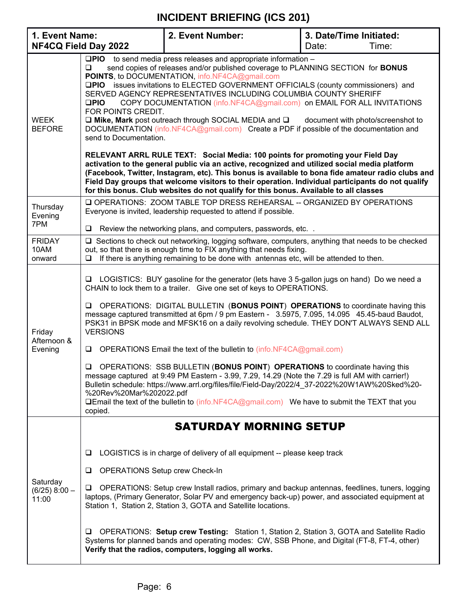| 1. Event Name:                       |                                                                                                                                                                                                                                                                                                                                                                                                                                                                                                                                                                                                                                                                                                                                                                                                                                                                                                                                                                                                                                                                                                                                                                                                                                         | 2. Event Number:                                                                                                                                                                                                                                                                                                                                                                 | 3. Date/Time Initiated: |
|--------------------------------------|-----------------------------------------------------------------------------------------------------------------------------------------------------------------------------------------------------------------------------------------------------------------------------------------------------------------------------------------------------------------------------------------------------------------------------------------------------------------------------------------------------------------------------------------------------------------------------------------------------------------------------------------------------------------------------------------------------------------------------------------------------------------------------------------------------------------------------------------------------------------------------------------------------------------------------------------------------------------------------------------------------------------------------------------------------------------------------------------------------------------------------------------------------------------------------------------------------------------------------------------|----------------------------------------------------------------------------------------------------------------------------------------------------------------------------------------------------------------------------------------------------------------------------------------------------------------------------------------------------------------------------------|-------------------------|
| NF4CQ Field Day 2022                 |                                                                                                                                                                                                                                                                                                                                                                                                                                                                                                                                                                                                                                                                                                                                                                                                                                                                                                                                                                                                                                                                                                                                                                                                                                         |                                                                                                                                                                                                                                                                                                                                                                                  | Time:<br>Date:          |
| <b>WEEK</b><br><b>BEFORE</b>         | $\square$ PIO to send media press releases and appropriate information –<br>$\Box$<br>send copies of releases and/or published coverage to PLANNING SECTION for <b>BONUS</b><br>POINTS, to DOCUMENTATION, info.NF4CA@gmail.com<br><b>QPIO</b> issues invitations to ELECTED GOVERNMENT OFFICIALS (county commissioners) and<br>SERVED AGENCY REPRESENTATIVES INCLUDING COLUMBIA COUNTY SHERIFF<br>COPY DOCUMENTATION (info.NF4CA@gmail.com) on EMAIL FOR ALL INVITATIONS<br>$\square$ PIO<br>FOR POINTS CREDIT.<br>$\square$ Mike, Mark post outreach through SOCIAL MEDIA and $\square$<br>document with photo/screenshot to<br>DOCUMENTATION (info.NF4CA@gmail.com) Create a PDF if possible of the documentation and<br>send to Documentation.<br>RELEVANT ARRL RULE TEXT: Social Media: 100 points for promoting your Field Day<br>activation to the general public via an active, recognized and utilized social media platform<br>(Facebook, Twitter, Instagram, etc). This bonus is available to bona fide amateur radio clubs and<br>Field Day groups that welcome visitors to their operation. Individual participants do not qualify<br>for this bonus. Club websites do not qualify for this bonus. Available to all classes |                                                                                                                                                                                                                                                                                                                                                                                  |                         |
| Thursday<br>Evening<br>7PM           | ⊔                                                                                                                                                                                                                                                                                                                                                                                                                                                                                                                                                                                                                                                                                                                                                                                                                                                                                                                                                                                                                                                                                                                                                                                                                                       | O OPERATIONS: ZOOM TABLE TOP DRESS REHEARSAL -- ORGANIZED BY OPERATIONS<br>Everyone is invited, leadership requested to attend if possible.<br>Review the networking plans, and computers, passwords, etc. .                                                                                                                                                                     |                         |
| <b>FRIDAY</b><br>10AM<br>onward      | Sections to check out networking, logging software, computers, anything that needs to be checked<br>⊔<br>out, so that there is enough time to FIX anything that needs fixing.<br>If there is anything remaining to be done with antennas etc, will be attended to then.<br>$\Box$                                                                                                                                                                                                                                                                                                                                                                                                                                                                                                                                                                                                                                                                                                                                                                                                                                                                                                                                                       |                                                                                                                                                                                                                                                                                                                                                                                  |                         |
| Friday<br>Afternoon &<br>Evening     | LOGISTICS: BUY gasoline for the generator (lets have 3 5-gallon jugs on hand) Do we need a<br>u.<br>CHAIN to lock them to a trailer. Give one set of keys to OPERATIONS.<br>OPERATIONS: DIGITAL BULLETIN (BONUS POINT) OPERATIONS to coordinate having this<br>□<br>message captured transmitted at 6pm / 9 pm Eastern - 3.5975, 7.095, 14.095 45.45-baud Baudot,<br>PSK31 in BPSK mode and MFSK16 on a daily revolving schedule. THEY DON'T ALWAYS SEND ALL<br><b>VERSIONS</b><br>OPERATIONS Email the text of the bulletin to (info.NF4CA@gmail.com)<br>◘<br>OPERATIONS: SSB BULLETIN (BONUS POINT) OPERATIONS to coordinate having this<br>◻<br>message captured at 9:49 PM Eastern - 3.99, 7.29, 14.29 (Note the 7.29 is full AM with carrier!)<br>Bulletin schedule: https://www.arrl.org/files/file/Field-Day/2022/4 37-2022%20W1AW%20Sked%20-<br>%20Rev%20Mar%202022.pdf<br><b>QEmail the text of the bulletin to (info.NF4CA@gmail.com)</b> We have to submit the TEXT that you<br>copied.                                                                                                                                                                                                                                      |                                                                                                                                                                                                                                                                                                                                                                                  |                         |
| Saturday<br>$(6/25)$ 8:00 -<br>11:00 | ⊔<br><b>OPERATIONS Setup crew Check-In</b><br>⊔<br>⊔                                                                                                                                                                                                                                                                                                                                                                                                                                                                                                                                                                                                                                                                                                                                                                                                                                                                                                                                                                                                                                                                                                                                                                                    | <b>SATURDAY MORNING SETUP</b><br>LOGISTICS is in charge of delivery of all equipment -- please keep track<br>OPERATIONS: Setup crew Install radios, primary and backup antennas, feedlines, tuners, logging<br>laptops, (Primary Generator, Solar PV and emergency back-up) power, and associated equipment at<br>Station 1, Station 2, Station 3, GOTA and Satellite locations. |                         |
|                                      | ⊔                                                                                                                                                                                                                                                                                                                                                                                                                                                                                                                                                                                                                                                                                                                                                                                                                                                                                                                                                                                                                                                                                                                                                                                                                                       | OPERATIONS: Setup crew Testing: Station 1, Station 2, Station 3, GOTA and Satellite Radio<br>Systems for planned bands and operating modes: CW, SSB Phone, and Digital (FT-8, FT-4, other)<br>Verify that the radios, computers, logging all works.                                                                                                                              |                         |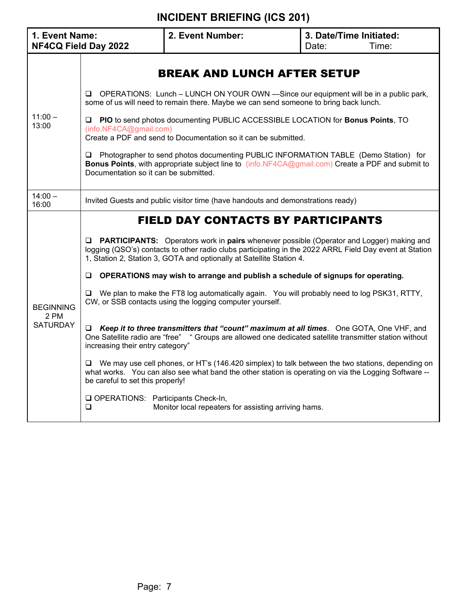| 1. Event Name:<br>NF4CQ Field Day 2022      |                                                                                                                                                                                                                                                                                                                                                                                                                                                                                                                                                                                                                                                              | 2. Event Number:                                                                                                                                                                                                                                                                                                                                                                                                                                                                                                                                                                                                                                                                                                                                                                                                                                                                                                                                                                                                                                          | 3. Date/Time Initiated:<br>Time:<br>Date: |
|---------------------------------------------|--------------------------------------------------------------------------------------------------------------------------------------------------------------------------------------------------------------------------------------------------------------------------------------------------------------------------------------------------------------------------------------------------------------------------------------------------------------------------------------------------------------------------------------------------------------------------------------------------------------------------------------------------------------|-----------------------------------------------------------------------------------------------------------------------------------------------------------------------------------------------------------------------------------------------------------------------------------------------------------------------------------------------------------------------------------------------------------------------------------------------------------------------------------------------------------------------------------------------------------------------------------------------------------------------------------------------------------------------------------------------------------------------------------------------------------------------------------------------------------------------------------------------------------------------------------------------------------------------------------------------------------------------------------------------------------------------------------------------------------|-------------------------------------------|
| $11:00 -$<br>13:00                          | <b>BREAK AND LUNCH AFTER SETUP</b><br>OPERATIONS: Lunch – LUNCH ON YOUR OWN —Since our equipment will be in a public park,<br>❏<br>some of us will need to remain there. Maybe we can send someone to bring back lunch.<br>PIO to send photos documenting PUBLIC ACCESSIBLE LOCATION for Bonus Points, TO<br>u.<br>(info.NF4CA@gmail.com)<br>Create a PDF and send to Documentation so it can be submitted.<br>Photographer to send photos documenting PUBLIC INFORMATION TABLE (Demo Station) for<br>⊔<br><b>Bonus Points</b> , with appropriate subject line to (info.NF4CA@gmail.com) Create a PDF and submit to<br>Documentation so it can be submitted. |                                                                                                                                                                                                                                                                                                                                                                                                                                                                                                                                                                                                                                                                                                                                                                                                                                                                                                                                                                                                                                                           |                                           |
| $14:00 -$<br>16:00                          |                                                                                                                                                                                                                                                                                                                                                                                                                                                                                                                                                                                                                                                              | Invited Guests and public visitor time (have handouts and demonstrations ready)                                                                                                                                                                                                                                                                                                                                                                                                                                                                                                                                                                                                                                                                                                                                                                                                                                                                                                                                                                           |                                           |
| <b>BEGINNING</b><br>2 PM<br><b>SATURDAY</b> | ⊔<br>⊔<br>Q.<br>increasing their entry category"<br>⊔<br>be careful to set this properly!<br>OPERATIONS: Participants Check-In,<br>$\Box$                                                                                                                                                                                                                                                                                                                                                                                                                                                                                                                    | <b>FIELD DAY CONTACTS BY PARTICIPANTS</b><br><b>PARTICIPANTS:</b> Operators work in pairs whenever possible (Operator and Logger) making and<br>logging (QSO's) contacts to other radio clubs participating in the 2022 ARRL Field Day event at Station<br>1, Station 2, Station 3, GOTA and optionally at Satellite Station 4.<br>OPERATIONS may wish to arrange and publish a schedule of signups for operating.<br>We plan to make the FT8 log automatically again. You will probably need to log PSK31, RTTY,<br>CW, or SSB contacts using the logging computer yourself.<br>□ Keep it to three transmitters that "count" maximum at all times. One GOTA, One VHF, and<br>One Satellite radio are "free" " Groups are allowed one dedicated satellite transmitter station without<br>We may use cell phones, or HT's (146.420 simplex) to talk between the two stations, depending on<br>what works. You can also see what band the other station is operating on via the Logging Software --<br>Monitor local repeaters for assisting arriving hams. |                                           |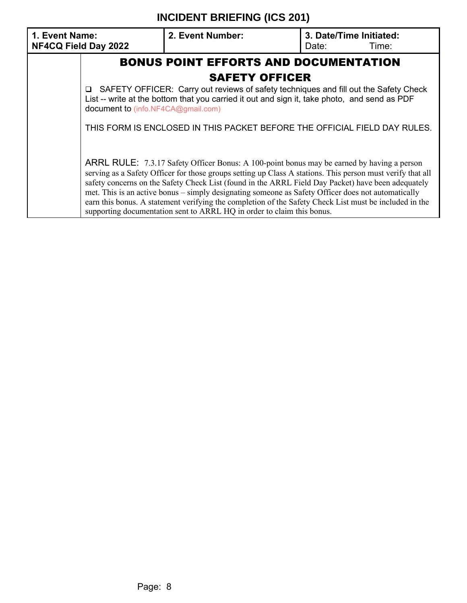| 1. Event Name:<br>NF4CQ Field Day 2022 | 2. Event Number:                                                                                                                                                                                                                                                                                                                                                                                                                                                                                                                                                                                         | 3. Date/Time Initiated:<br>Date: | Time: |
|----------------------------------------|----------------------------------------------------------------------------------------------------------------------------------------------------------------------------------------------------------------------------------------------------------------------------------------------------------------------------------------------------------------------------------------------------------------------------------------------------------------------------------------------------------------------------------------------------------------------------------------------------------|----------------------------------|-------|
|                                        | <b>BONUS POINT EFFORTS AND DOCUMENTATION</b>                                                                                                                                                                                                                                                                                                                                                                                                                                                                                                                                                             |                                  |       |
|                                        | <b>SAFETY OFFICER</b>                                                                                                                                                                                                                                                                                                                                                                                                                                                                                                                                                                                    |                                  |       |
|                                        | □ SAFETY OFFICER: Carry out reviews of safety techniques and fill out the Safety Check<br>List -- write at the bottom that you carried it out and sign it, take photo, and send as PDF<br>document to (info.NF4CA@gmail.com)                                                                                                                                                                                                                                                                                                                                                                             |                                  |       |
|                                        | THIS FORM IS ENCLOSED IN THIS PACKET BEFORE THE OFFICIAL FIELD DAY RULES.                                                                                                                                                                                                                                                                                                                                                                                                                                                                                                                                |                                  |       |
|                                        | ARRL RULE: 7.3.17 Safety Officer Bonus: A 100-point bonus may be earned by having a person<br>serving as a Safety Officer for those groups setting up Class A stations. This person must verify that all<br>safety concerns on the Safety Check List (found in the ARRL Field Day Packet) have been adequately<br>met. This is an active bonus – simply designating someone as Safety Officer does not automatically<br>earn this bonus. A statement verifying the completion of the Safety Check List must be included in the<br>supporting documentation sent to ARRL HQ in order to claim this bonus. |                                  |       |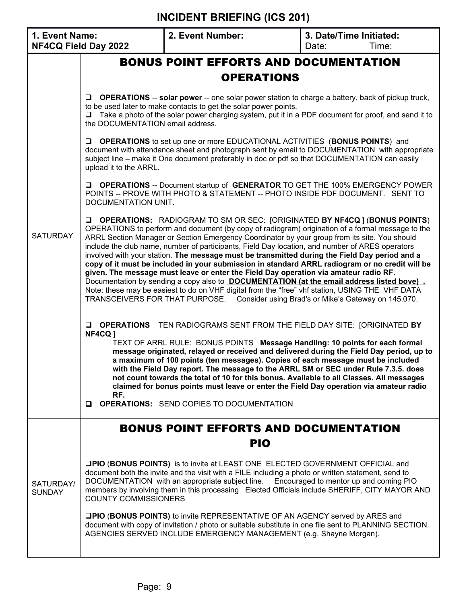| 1. Event Name:<br>NF4CQ Field Day 2022 |                                                      | 2. Event Number:                                                                                                                                                                                                                                                                                                                                                                                                                                                                                                                                                                                                                                                                                                                                                                                                                                                                                                                                                                                 | 3. Date/Time Initiated:<br>Time:<br>Date: |
|----------------------------------------|------------------------------------------------------|--------------------------------------------------------------------------------------------------------------------------------------------------------------------------------------------------------------------------------------------------------------------------------------------------------------------------------------------------------------------------------------------------------------------------------------------------------------------------------------------------------------------------------------------------------------------------------------------------------------------------------------------------------------------------------------------------------------------------------------------------------------------------------------------------------------------------------------------------------------------------------------------------------------------------------------------------------------------------------------------------|-------------------------------------------|
|                                        |                                                      | <b>BONUS POINT EFFORTS AND DOCUMENTATION</b>                                                                                                                                                                                                                                                                                                                                                                                                                                                                                                                                                                                                                                                                                                                                                                                                                                                                                                                                                     |                                           |
|                                        |                                                      | <b>OPERATIONS</b>                                                                                                                                                                                                                                                                                                                                                                                                                                                                                                                                                                                                                                                                                                                                                                                                                                                                                                                                                                                |                                           |
|                                        | $\Box$<br>$\Box$<br>the DOCUMENTATION email address. | <b>OPERATIONS</b> -- solar power -- one solar power station to charge a battery, back of pickup truck,<br>to be used later to make contacts to get the solar power points.<br>Take a photo of the solar power charging system, put it in a PDF document for proof, and send it to                                                                                                                                                                                                                                                                                                                                                                                                                                                                                                                                                                                                                                                                                                                |                                           |
|                                        | ❏<br>upload it to the ARRL.                          | <b>OPERATIONS</b> to set up one or more EDUCATIONAL ACTIVITIES (BONUS POINTS) and<br>document with attendance sheet and photograph sent by email to DOCUMENTATION with appropriate<br>subject line – make it One document preferably in doc or pdf so that DOCUMENTATION can easily                                                                                                                                                                                                                                                                                                                                                                                                                                                                                                                                                                                                                                                                                                              |                                           |
|                                        | DOCUMENTATION UNIT.                                  | <b>Q OPERATIONS</b> -- Document startup of <b>GENERATOR</b> TO GET THE 100% EMERGENCY POWER<br>POINTS -- PROVE WITH PHOTO & STATEMENT -- PHOTO INSIDE PDF DOCUMENT. SENT TO                                                                                                                                                                                                                                                                                                                                                                                                                                                                                                                                                                                                                                                                                                                                                                                                                      |                                           |
| <b>SATURDAY</b>                        | $\Box$                                               | <b>OPERATIONS:</b> RADIOGRAM TO SM OR SEC: [ORIGINATED <b>BY NF4CQ</b> ] ( <b>BONUS POINTS</b> )<br>OPERATIONS to perform and document (by copy of radiogram) origination of a formal message to the<br>ARRL Section Manager or Section Emergency Coordinator by your group from its site. You should<br>include the club name, number of participants, Field Day location, and number of ARES operators<br>involved with your station. The message must be transmitted during the Field Day period and a<br>copy of it must be included in your submission in standard ARRL radiogram or no credit will be<br>given. The message must leave or enter the Field Day operation via amateur radio RF.<br>Documentation by sending a copy also to <b>DOCUMENTATION</b> (at the email address listed bove).<br>Note: these may be easiest to do on VHF digital from the "free" vhf station, USING THE VHF DATA<br>TRANSCEIVERS FOR THAT PURPOSE. Consider using Brad's or Mike's Gateway on 145.070. |                                           |
|                                        | $\Box$<br>NF4CQ ]<br>RF.<br>0                        | <b>OPERATIONS</b> TEN RADIOGRAMS SENT FROM THE FIELD DAY SITE: [ORIGINATED BY<br>TEXT OF ARRL RULE: BONUS POINTS Message Handling: 10 points for each formal<br>message originated, relayed or received and delivered during the Field Day period, up to<br>a maximum of 100 points (ten messages). Copies of each message must be included<br>with the Field Day report. The message to the ARRL SM or SEC under Rule 7.3.5. does<br>not count towards the total of 10 for this bonus. Available to all Classes. All messages<br>claimed for bonus points must leave or enter the Field Day operation via amateur radio<br><b>OPERATIONS: SEND COPIES TO DOCUMENTATION</b>                                                                                                                                                                                                                                                                                                                      |                                           |
|                                        |                                                      | <b>BONUS POINT EFFORTS AND DOCUMENTATION</b><br><b>PIO</b>                                                                                                                                                                                                                                                                                                                                                                                                                                                                                                                                                                                                                                                                                                                                                                                                                                                                                                                                       |                                           |
| SATURDAY/<br><b>SUNDAY</b>             | <b>COUNTY COMMISSIONERS</b>                          | <b>QPIO (BONUS POINTS)</b> is to invite at LEAST ONE ELECTED GOVERNMENT OFFICIAL and<br>document both the invite and the visit with a FILE including a photo or written statement, send to<br>DOCUMENTATION with an appropriate subject line. Encouraged to mentor up and coming PIO<br>members by involving them in this processing Elected Officials include SHERIFF, CITY MAYOR AND<br><b>QPIO (BONUS POINTS)</b> to invite REPRESENTATIVE OF AN AGENCY served by ARES and<br>document with copy of invitation / photo or suitable substitute in one file sent to PLANNING SECTION.<br>AGENCIES SERVED INCLUDE EMERGENCY MANAGEMENT (e.g. Shayne Morgan).                                                                                                                                                                                                                                                                                                                                     |                                           |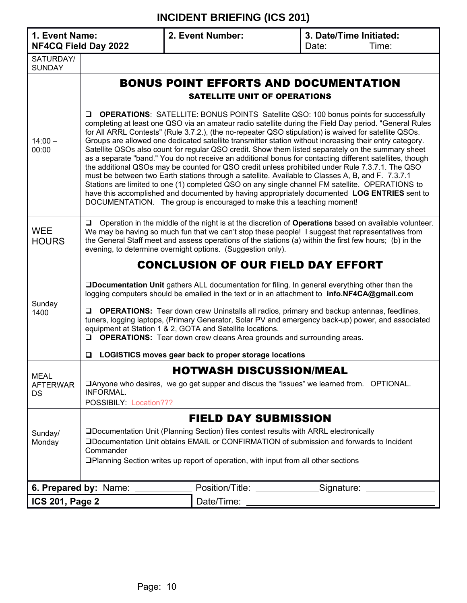#### **1. Event Name: NF4CQ Field Day 2022 2. Event Number: 3. Date/Time Initiated:** Date: Time: SATURDAY/ SUNDAY  $14:00 -$ 00:00 BONUS POINT EFFORTS AND DOCUMENTATION SATELLITE UNIT OF OPERATIONS **Q OPERATIONS:** SATELLITE: BONUS POINTS Satellite QSO: 100 bonus points for successfully completing at least one QSO via an amateur radio satellite during the Field Day period. "General Rules for All ARRL Contests" (Rule 3.7.2.), (the no-repeater QSO stipulation) is waived for satellite QSOs. Groups are allowed one dedicated satellite transmitter station without increasing their entry category. Satellite QSOs also count for regular QSO credit. Show them listed separately on the summary sheet as a separate "band." You do not receive an additional bonus for contacting different satellites, though the additional QSOs may be counted for QSO credit unless prohibited under Rule 7.3.7.1. The QSO must be between two Earth stations through a satellite. Available to Classes A, B, and F. 7.3.7.1 Stations are limited to one (1) completed QSO on any single channel FM satellite. OPERATIONS to have this accomplished and documented by having appropriately documented **LOG ENTRIES** sent to DOCUMENTATION. The group is encouraged to make this a teaching moment! **WEE HOURS** □ Operation in the middle of the night is at the discretion of **Operations** based on available volunteer. We may be having so much fun that we can't stop these people! I suggest that representatives from the General Staff meet and assess operations of the stations (a) within the first few hours; (b) in the evening, to determine overnight options. (Suggestion only). Sunday 1400 CONCLUSION OF OUR FIELD DAY EFFORT q**Documentation Unit** gathers ALL documentation for filing. In general everything other than the logging computers should be emailed in the text or in an attachment to **info.NF4CA@gmail.com Q OPERATIONS:** Tear down crew Uninstalls all radios, primary and backup antennas, feedlines, tuners, logging laptops, (Primary Generator, Solar PV and emergency back-up) power, and associated equipment at Station 1 & 2, GOTA and Satellite locations. **Q OPERATIONS:** Tear down crew cleans Area grounds and surrounding areas. q **LOGISTICS moves gear back to proper storage locations** MEAL AFTERWAR DS HOTWASH DISCUSSION/MEAL □Anyone who desires, we go get supper and discus the "issues" we learned from. OPTIONAL. INFORMAL. POSSIBILY: Location??? Sunday/ Monday FIELD DAY SUBMISSION qDocumentation Unit (Planning Section) files contest results with ARRL electronically qDocumentation Unit obtains EMAIL or CONFIRMATION of submission and forwards to Incident **Commander QPlanning Section writes up report of operation, with input from all other sections 6. Prepared by:** Name: \_\_\_\_\_\_\_\_\_\_\_\_\_\_\_ Position/Title: \_\_\_\_\_\_\_\_\_\_\_\_\_\_\_Signature: \_\_ **ICS 201, Page 2**  $\sqrt{$  Date/Time: 2011, Date/Discovery 2011, Date/Time: 2011, Date/Time: 2012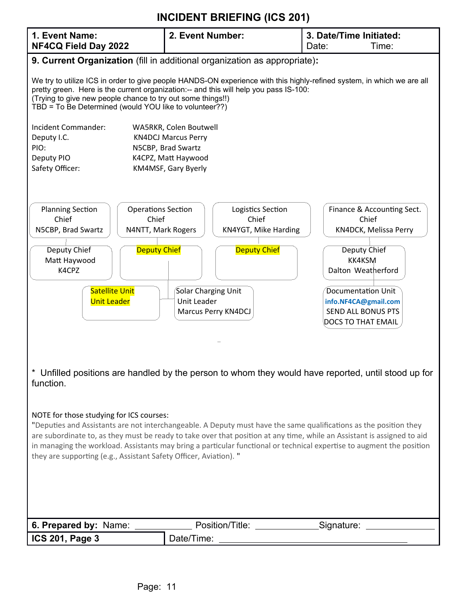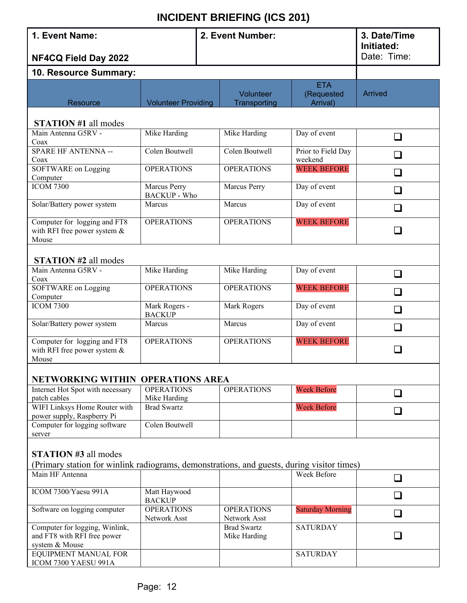| 1. Event Name:                                                                                                            | 2. Event Number:                    |                                    |                                      | 3. Date/Time<br>Initiated: |  |  |  |  |  |
|---------------------------------------------------------------------------------------------------------------------------|-------------------------------------|------------------------------------|--------------------------------------|----------------------------|--|--|--|--|--|
| NF4CQ Field Day 2022                                                                                                      |                                     |                                    |                                      | Date: Time:                |  |  |  |  |  |
| 10. Resource Summary:                                                                                                     |                                     |                                    |                                      |                            |  |  |  |  |  |
| Resource                                                                                                                  | <b>Volunteer Providing</b>          | Volunteer<br>Transporting          | <b>ETA</b><br>(Requested<br>Arrival) | <b>Arrived</b>             |  |  |  |  |  |
| <b>STATION #1 all modes</b>                                                                                               |                                     |                                    |                                      |                            |  |  |  |  |  |
| Main Antenna G5RV -<br>Coax                                                                                               | Mike Harding                        | Mike Harding                       | Day of event                         | $\Box$                     |  |  |  |  |  |
| SPARE HF ANTENNA --<br>Coax                                                                                               | Colen Boutwell                      | Colen Boutwell                     | Prior to Field Day<br>weekend        | $\Box$                     |  |  |  |  |  |
| SOFTWARE on Logging<br>Computer                                                                                           | <b>OPERATIONS</b>                   | <b>OPERATIONS</b>                  | <b>WEEK BEFORE</b>                   | ப                          |  |  |  |  |  |
| <b>ICOM 7300</b>                                                                                                          | Marcus Perry<br><b>BACKUP</b> - Who | Marcus Perry                       | Day of event                         | $\sqcup$                   |  |  |  |  |  |
| Solar/Battery power system                                                                                                | Marcus                              | Marcus                             | Day of event                         | $\Box$                     |  |  |  |  |  |
| Computer for logging and FT8<br>with RFI free power system $&$<br>Mouse                                                   | <b>OPERATIONS</b>                   | <b>OPERATIONS</b>                  | <b>WEEK BEFORE</b>                   |                            |  |  |  |  |  |
| <b>STATION #2 all modes</b>                                                                                               |                                     |                                    |                                      |                            |  |  |  |  |  |
| Main Antenna G5RV -<br>Coax                                                                                               | Mike Harding                        | Mike Harding                       | Day of event                         | $\Box$                     |  |  |  |  |  |
| SOFTWARE on Logging<br>Computer                                                                                           | <b>OPERATIONS</b>                   | <b>OPERATIONS</b>                  | <b>WEEK BEFORE</b>                   | $\Box$                     |  |  |  |  |  |
| <b>ICOM 7300</b>                                                                                                          | Mark Rogers -<br><b>BACKUP</b>      | Mark Rogers                        | Day of event                         | $\Box$                     |  |  |  |  |  |
| Solar/Battery power system                                                                                                | Marcus                              | Marcus                             | Day of event                         | П                          |  |  |  |  |  |
| Computer for logging and FT8<br>with RFI free power system $&$<br>Mouse                                                   | <b>OPERATIONS</b>                   | <b>OPERATIONS</b>                  | <b>WEEK BEFORE</b>                   |                            |  |  |  |  |  |
| NETWORKING WITHIN OPERATIONS AREA                                                                                         |                                     |                                    |                                      |                            |  |  |  |  |  |
| Internet Hot Spot with necessary<br>patch cables                                                                          | <b>OPERATIONS</b><br>Mike Harding   | <b>OPERATIONS</b>                  | <b>Week Before</b>                   | $\Box$                     |  |  |  |  |  |
| WIFI Linksys Home Router with<br>power supply, Raspberry Pi                                                               | <b>Brad Swartz</b>                  |                                    | <b>Week Before</b>                   | $\overline{\phantom{a}}$   |  |  |  |  |  |
| Computer for logging software<br>server                                                                                   | Colen Boutwell                      |                                    |                                      |                            |  |  |  |  |  |
| <b>STATION #3 all modes</b><br>(Primary station for winlink radiograms, demonstrations, and guests, during visitor times) |                                     |                                    |                                      |                            |  |  |  |  |  |
| Main HF Antenna                                                                                                           |                                     |                                    | Week Before                          | ❏                          |  |  |  |  |  |
| ICOM 7300/Yaesu 991A                                                                                                      | Matt Haywood<br><b>BACKUP</b>       |                                    |                                      | $\Box$                     |  |  |  |  |  |
| Software on logging computer                                                                                              | <b>OPERATIONS</b><br>Network Asst   | <b>OPERATIONS</b><br>Network Asst  | <b>Saturday Morning</b>              | $\Box$                     |  |  |  |  |  |
| Computer for logging, Winlink,<br>and FT8 with RFI free power<br>system & Mouse                                           |                                     | <b>Brad Swartz</b><br>Mike Harding | <b>SATURDAY</b>                      |                            |  |  |  |  |  |
| EQUIPMENT MANUAL FOR                                                                                                      |                                     |                                    | <b>SATURDAY</b>                      |                            |  |  |  |  |  |

ICOM 7300 YAESU 991A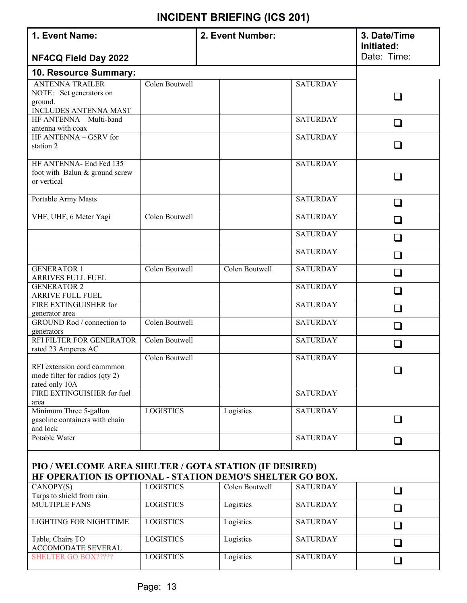| 1. Event Name:                                                                                                      |                  | 2. Event Number: |                 | 3. Date/Time<br>Initiated: |  |  |  |  |  |
|---------------------------------------------------------------------------------------------------------------------|------------------|------------------|-----------------|----------------------------|--|--|--|--|--|
| NF4CQ Field Day 2022                                                                                                |                  |                  |                 | Date: Time:                |  |  |  |  |  |
| 10. Resource Summary:                                                                                               |                  |                  |                 |                            |  |  |  |  |  |
| <b>ANTENNA TRAILER</b><br>NOTE: Set generators on<br>ground.                                                        | Colen Boutwell   |                  | <b>SATURDAY</b> |                            |  |  |  |  |  |
| <b>INCLUDES ANTENNA MAST</b><br>HF ANTENNA - Multi-band                                                             |                  |                  | <b>SATURDAY</b> | $\Box$                     |  |  |  |  |  |
| antenna with coax<br>HF ANTENNA - G5RV for                                                                          |                  |                  | <b>SATURDAY</b> |                            |  |  |  |  |  |
| station 2                                                                                                           |                  |                  |                 | ×.                         |  |  |  |  |  |
| HF ANTENNA- End Fed 135<br>foot with Balun & ground screw<br>or vertical                                            |                  |                  | <b>SATURDAY</b> |                            |  |  |  |  |  |
| Portable Army Masts                                                                                                 |                  |                  | <b>SATURDAY</b> | $\Box$                     |  |  |  |  |  |
| VHF, UHF, 6 Meter Yagi                                                                                              | Colen Boutwell   |                  | <b>SATURDAY</b> | $\Box$                     |  |  |  |  |  |
|                                                                                                                     |                  |                  | <b>SATURDAY</b> | $\overline{\phantom{a}}$   |  |  |  |  |  |
|                                                                                                                     |                  |                  | <b>SATURDAY</b> | $\Box$                     |  |  |  |  |  |
| <b>GENERATOR 1</b><br>ARRIVES FULL FUEL                                                                             | Colen Boutwell   | Colen Boutwell   | <b>SATURDAY</b> | ⊔                          |  |  |  |  |  |
| <b>GENERATOR 2</b><br>ARRIVE FULL FUEL                                                                              |                  |                  | <b>SATURDAY</b> |                            |  |  |  |  |  |
| FIRE EXTINGUISHER for<br>generator area                                                                             |                  |                  | <b>SATURDAY</b> | $\sim$                     |  |  |  |  |  |
| GROUND Rod / connection to<br>generators                                                                            | Colen Boutwell   |                  | <b>SATURDAY</b> | $\Box$                     |  |  |  |  |  |
| RFI FILTER FOR GENERATOR<br>rated 23 Amperes AC                                                                     | Colen Boutwell   |                  | <b>SATURDAY</b> | $\Box$                     |  |  |  |  |  |
| RFI extension cord commmon<br>mode filter for radios (qty 2)<br>rated only 10A                                      | Colen Boutwell   |                  | <b>SATURDAY</b> |                            |  |  |  |  |  |
| FIRE EXTINGUISHER for fuel<br>area                                                                                  |                  |                  | <b>SATURDAY</b> |                            |  |  |  |  |  |
| Minimum Three 5-gallon<br>gasoline containers with chain<br>and lock                                                | <b>LOGISTICS</b> | Logistics        | <b>SATURDAY</b> | - 1                        |  |  |  |  |  |
| Potable Water                                                                                                       |                  |                  | <b>SATURDAY</b> | ப                          |  |  |  |  |  |
| PIO / WELCOME AREA SHELTER / GOTA STATION (IF DESIRED)<br>HF OPERATION IS OPTIONAL - STATION DEMO'S SHELTER GO BOX. |                  |                  |                 |                            |  |  |  |  |  |
| CANOPY(S)<br>Tarps to shield from rain                                                                              | <b>LOGISTICS</b> | Colen Boutwell   | <b>SATURDAY</b> | $\Box$                     |  |  |  |  |  |
| <b>MULTIPLE FANS</b>                                                                                                | <b>LOGISTICS</b> | Logistics        | <b>SATURDAY</b> | $\Box$                     |  |  |  |  |  |
| <b>LIGHTING FOR NIGHTTIME</b>                                                                                       | <b>LOGISTICS</b> | Logistics        | <b>SATURDAY</b> | $\Box$                     |  |  |  |  |  |
| Table, Chairs TO<br><b>ACCOMODATE SEVERAL</b>                                                                       | <b>LOGISTICS</b> | Logistics        | <b>SATURDAY</b> | $\mathcal{L}$              |  |  |  |  |  |
| <b>SHELTER GO BOX?????</b>                                                                                          | <b>LOGISTICS</b> | Logistics        | <b>SATURDAY</b> | ப                          |  |  |  |  |  |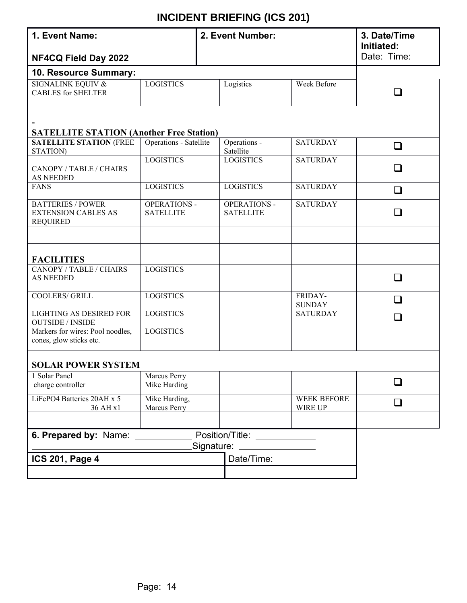| 1. Event Name:                                                            |                                         |  | 2. Event Number:                        |                                                                                                                                                                                                                                      | 3. Date/Time<br>Initiated: |  |  |  |  |
|---------------------------------------------------------------------------|-----------------------------------------|--|-----------------------------------------|--------------------------------------------------------------------------------------------------------------------------------------------------------------------------------------------------------------------------------------|----------------------------|--|--|--|--|
| NF4CQ Field Day 2022                                                      |                                         |  |                                         |                                                                                                                                                                                                                                      | Date: Time:                |  |  |  |  |
| 10. Resource Summary:                                                     |                                         |  |                                         |                                                                                                                                                                                                                                      |                            |  |  |  |  |
| <b>SIGNALINK EQUIV &amp;</b><br><b>CABLES</b> for SHELTER                 | <b>LOGISTICS</b>                        |  | Logistics                               | Week Before                                                                                                                                                                                                                          | $\Box$                     |  |  |  |  |
| <b>SATELLITE STATION (Another Free Station)</b>                           |                                         |  |                                         |                                                                                                                                                                                                                                      |                            |  |  |  |  |
| <b>SATELLITE STATION (FREE</b><br>STATION)                                | Operations - Satellite                  |  | Operations -<br>Satellite               | <b>SATURDAY</b>                                                                                                                                                                                                                      | $\Box$                     |  |  |  |  |
| CANOPY / TABLE / CHAIRS<br>AS NEEDED                                      | <b>LOGISTICS</b>                        |  | <b>LOGISTICS</b>                        | <b>SATURDAY</b>                                                                                                                                                                                                                      | $\Box$                     |  |  |  |  |
| <b>FANS</b>                                                               | <b>LOGISTICS</b>                        |  | <b>LOGISTICS</b>                        | <b>SATURDAY</b>                                                                                                                                                                                                                      | $\Box$                     |  |  |  |  |
| <b>BATTERIES / POWER</b><br><b>EXTENSION CABLES AS</b><br><b>REQUIRED</b> | <b>OPERATIONS -</b><br><b>SATELLITE</b> |  | <b>OPERATIONS -</b><br><b>SATELLITE</b> | <b>SATURDAY</b>                                                                                                                                                                                                                      | $\Box$                     |  |  |  |  |
|                                                                           |                                         |  |                                         |                                                                                                                                                                                                                                      |                            |  |  |  |  |
| <b>FACILITIES</b>                                                         |                                         |  |                                         |                                                                                                                                                                                                                                      |                            |  |  |  |  |
| CANOPY / TABLE / CHAIRS<br><b>AS NEEDED</b>                               | <b>LOGISTICS</b>                        |  |                                         |                                                                                                                                                                                                                                      | $\Box$                     |  |  |  |  |
| COOLERS/ GRILL                                                            | <b>LOGISTICS</b>                        |  |                                         | FRIDAY-<br><b>SUNDAY</b>                                                                                                                                                                                                             | □                          |  |  |  |  |
| <b>LIGHTING AS DESIRED FOR</b><br><b>OUTSIDE / INSIDE</b>                 | <b>LOGISTICS</b>                        |  |                                         | <b>SATURDAY</b>                                                                                                                                                                                                                      | □                          |  |  |  |  |
| Markers for wires: Pool noodles,<br>cones, glow sticks etc.               | <b>LOGISTICS</b>                        |  |                                         |                                                                                                                                                                                                                                      |                            |  |  |  |  |
| <b>SOLAR POWER SYSTEM</b>                                                 |                                         |  |                                         |                                                                                                                                                                                                                                      |                            |  |  |  |  |
| 1 Solar Panel<br>charge controller                                        | Marcus Perry<br>Mike Harding            |  |                                         |                                                                                                                                                                                                                                      |                            |  |  |  |  |
| LiFePO4 Batteries 20AH x 5<br>36 AH x1                                    | Mike Harding,<br>Marcus Perry           |  |                                         | <b>WEEK BEFORE</b><br>WIRE UP                                                                                                                                                                                                        | $\Box$                     |  |  |  |  |
|                                                                           |                                         |  |                                         |                                                                                                                                                                                                                                      |                            |  |  |  |  |
| 6. Prepared by: Name:<br>Position/Title: New York 1999                    |                                         |  |                                         |                                                                                                                                                                                                                                      |                            |  |  |  |  |
| Signature:<br><b>ICS 201, Page 4</b>                                      |                                         |  | Date/Time:                              | <u> 1990 - Jan Stein Stein Stein Stein Stein Stein Stein Stein Stein Stein Stein Stein Stein Stein Stein Stein Stein Stein Stein Stein Stein Stein Stein Stein Stein Stein Stein Stein Stein Stein Stein Stein Stein Stein Stein</u> |                            |  |  |  |  |
|                                                                           |                                         |  |                                         |                                                                                                                                                                                                                                      |                            |  |  |  |  |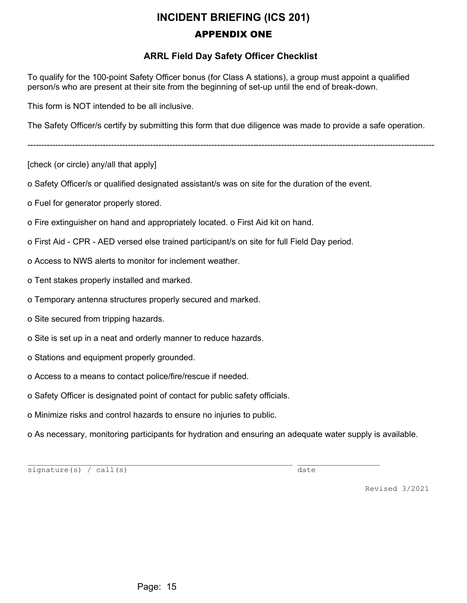## **INCIDENT BRIEFING (ICS 201)** APPENDIX ONE

#### **ARRL Field Day Safety Officer Checklist**

To qualify for the 100-point Safety Officer bonus (for Class A stations), a group must appoint a qualified person/s who are present at their site from the beginning of set-up until the end of break-down.

This form is NOT intended to be all inclusive.

The Safety Officer/s certify by submitting this form that due diligence was made to provide a safe operation.

--------------------------------------------------------------------------------------------------------------------------------------------------

[check (or circle) any/all that apply]

o Safety Officer/s or qualified designated assistant/s was on site for the duration of the event.

o Fuel for generator properly stored.

o Fire extinguisher on hand and appropriately located. o First Aid kit on hand.

o First Aid - CPR - AED versed else trained participant/s on site for full Field Day period.

- o Access to NWS alerts to monitor for inclement weather.
- o Tent stakes properly installed and marked.
- o Temporary antenna structures properly secured and marked.
- o Site secured from tripping hazards.
- o Site is set up in a neat and orderly manner to reduce hazards.
- o Stations and equipment properly grounded.
- o Access to a means to contact police/fire/rescue if needed.
- o Safety Officer is designated point of contact for public safety officials.
- o Minimize risks and control hazards to ensure no injuries to public.

o As necessary, monitoring participants for hydration and ensuring an adequate water supply is available.

\_\_\_\_\_\_\_\_\_\_\_\_\_\_\_\_\_\_\_\_\_\_\_\_\_\_\_\_\_\_\_\_\_\_\_\_\_\_\_\_\_\_\_\_\_\_\_\_\_\_\_\_\_\_\_\_\_\_ \_\_\_\_\_\_\_\_\_\_\_\_\_\_\_\_\_\_

signature(s) / call(s) date

Revised 3/2021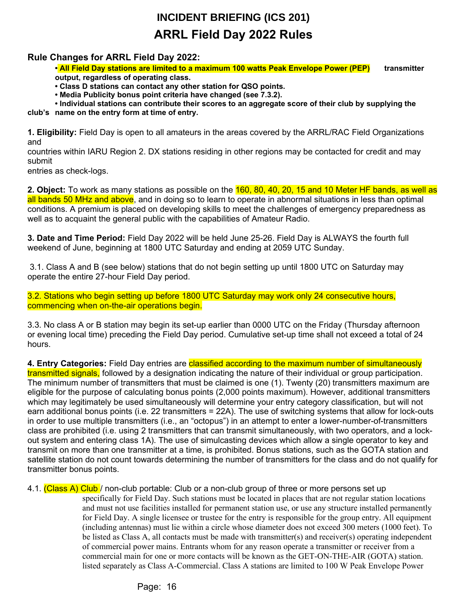# **INCIDENT BRIEFING (ICS 201) ARRL Field Day 2022 Rules**

#### **Rule Changes for ARRL Field Day 2022:**

**• All Field Day stations are limited to a maximum 100 watts Peak Envelope Power (PEP) transmitter output, regardless of operating class.**

**• Class D stations can contact any other station for QSO points.**

**• Media Publicity bonus point criteria have changed (see 7.3.2).**

**• Individual stations can contribute their scores to an aggregate score of their club by supplying the** 

**club's name on the entry form at time of entry.**

**1. Eligibility:** Field Day is open to all amateurs in the areas covered by the ARRL/RAC Field Organizations and

countries within IARU Region 2. DX stations residing in other regions may be contacted for credit and may submit

entries as check-logs.

**2. Object:** To work as many stations as possible on the 160, 80, 40, 20, 15 and 10 Meter HF bands, as well as all bands 50 MHz and above, and in doing so to learn to operate in abnormal situations in less than optimal conditions. A premium is placed on developing skills to meet the challenges of emergency preparedness as well as to acquaint the general public with the capabilities of Amateur Radio.

**3. Date and Time Period:** Field Day 2022 will be held June 25-26. Field Day is ALWAYS the fourth full weekend of June, beginning at 1800 UTC Saturday and ending at 2059 UTC Sunday.

 3.1. Class A and B (see below) stations that do not begin setting up until 1800 UTC on Saturday may operate the entire 27-hour Field Day period.

3.2. Stations who begin setting up before 1800 UTC Saturday may work only 24 consecutive hours, commencing when on-the-air operations begin.

3.3. No class A or B station may begin its set-up earlier than 0000 UTC on the Friday (Thursday afternoon or evening local time) preceding the Field Day period. Cumulative set-up time shall not exceed a total of 24 hours.

**4. Entry Categories:** Field Day entries are classified according to the maximum number of simultaneously transmitted signals, followed by a designation indicating the nature of their individual or group participation. The minimum number of transmitters that must be claimed is one (1). Twenty (20) transmitters maximum are eligible for the purpose of calculating bonus points (2,000 points maximum). However, additional transmitters which may legitimately be used simultaneously will determine your entry category classification, but will not earn additional bonus points (i.e. 22 transmitters = 22A). The use of switching systems that allow for lock-outs in order to use multiple transmitters (i.e., an "octopus") in an attempt to enter a lower-number-of-transmitters class are prohibited (i.e. using 2 transmitters that can transmit simultaneously, with two operators, and a lockout system and entering class 1A). The use of simulcasting devices which allow a single operator to key and transmit on more than one transmitter at a time, is prohibited. Bonus stations, such as the GOTA station and satellite station do not count towards determining the number of transmitters for the class and do not qualify for transmitter bonus points.

4.1. (Class A) Club / non-club portable: Club or a non-club group of three or more persons set up

specifically for Field Day. Such stations must be located in places that are not regular station locations and must not use facilities installed for permanent station use, or use any structure installed permanently for Field Day. A single licensee or trustee for the entry is responsible for the group entry. All equipment (including antennas) must lie within a circle whose diameter does not exceed 300 meters (1000 feet). To be listed as Class A, all contacts must be made with transmitter(s) and receiver(s) operating independent of commercial power mains. Entrants whom for any reason operate a transmitter or receiver from a commercial main for one or more contacts will be known as the GET-ON-THE-AIR (GOTA) station. listed separately as Class A-Commercial. Class A stations are limited to 100 W Peak Envelope Power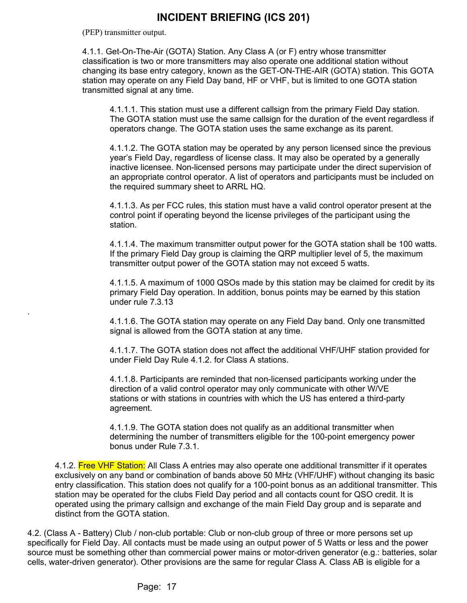(PEP) transmitter output.

.

4.1.1. Get-On-The-Air (GOTA) Station. Any Class A (or F) entry whose transmitter classification is two or more transmitters may also operate one additional station without changing its base entry category, known as the GET-ON-THE-AIR (GOTA) station. This GOTA station may operate on any Field Day band, HF or VHF, but is limited to one GOTA station transmitted signal at any time.

4.1.1.1. This station must use a different callsign from the primary Field Day station. The GOTA station must use the same callsign for the duration of the event regardless if operators change. The GOTA station uses the same exchange as its parent.

4.1.1.2. The GOTA station may be operated by any person licensed since the previous year's Field Day, regardless of license class. It may also be operated by a generally inactive licensee. Non-licensed persons may participate under the direct supervision of an appropriate control operator. A list of operators and participants must be included on the required summary sheet to ARRL HQ.

4.1.1.3. As per FCC rules, this station must have a valid control operator present at the control point if operating beyond the license privileges of the participant using the station.

4.1.1.4. The maximum transmitter output power for the GOTA station shall be 100 watts. If the primary Field Day group is claiming the QRP multiplier level of 5, the maximum transmitter output power of the GOTA station may not exceed 5 watts.

4.1.1.5. A maximum of 1000 QSOs made by this station may be claimed for credit by its primary Field Day operation. In addition, bonus points may be earned by this station under rule 7.3.13

4.1.1.6. The GOTA station may operate on any Field Day band. Only one transmitted signal is allowed from the GOTA station at any time.

4.1.1.7. The GOTA station does not affect the additional VHF/UHF station provided for under Field Day Rule 4.1.2. for Class A stations.

4.1.1.8. Participants are reminded that non-licensed participants working under the direction of a valid control operator may only communicate with other W/VE stations or with stations in countries with which the US has entered a third-party agreement.

4.1.1.9. The GOTA station does not qualify as an additional transmitter when determining the number of transmitters eligible for the 100-point emergency power bonus under Rule 7.3.1.

4.1.2. Free VHF Station: All Class A entries may also operate one additional transmitter if it operates exclusively on any band or combination of bands above 50 MHz (VHF/UHF) without changing its basic entry classification. This station does not qualify for a 100-point bonus as an additional transmitter. This station may be operated for the clubs Field Day period and all contacts count for QSO credit. It is operated using the primary callsign and exchange of the main Field Day group and is separate and distinct from the GOTA station.

4.2. (Class A - Battery) Club / non-club portable: Club or non-club group of three or more persons set up specifically for Field Day. All contacts must be made using an output power of 5 Watts or less and the power source must be something other than commercial power mains or motor-driven generator (e.g.: batteries, solar cells, water-driven generator). Other provisions are the same for regular Class A. Class AB is eligible for a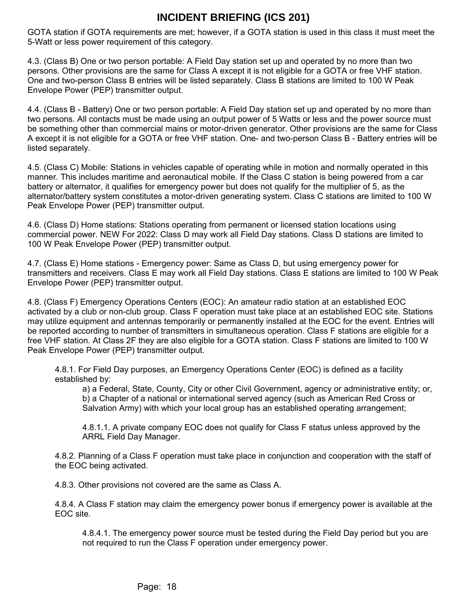GOTA station if GOTA requirements are met; however, if a GOTA station is used in this class it must meet the 5-Watt or less power requirement of this category.

4.3. (Class B) One or two person portable: A Field Day station set up and operated by no more than two persons. Other provisions are the same for Class A except it is not eligible for a GOTA or free VHF station. One and two-person Class B entries will be listed separately. Class B stations are limited to 100 W Peak Envelope Power (PEP) transmitter output.

4.4. (Class B - Battery) One or two person portable: A Field Day station set up and operated by no more than two persons. All contacts must be made using an output power of 5 Watts or less and the power source must be something other than commercial mains or motor-driven generator. Other provisions are the same for Class A except it is not eligible for a GOTA or free VHF station. One- and two-person Class B - Battery entries will be listed separately.

4.5. (Class C) Mobile: Stations in vehicles capable of operating while in motion and normally operated in this manner. This includes maritime and aeronautical mobile. If the Class C station is being powered from a car battery or alternator, it qualifies for emergency power but does not qualify for the multiplier of 5, as the alternator/battery system constitutes a motor-driven generating system. Class C stations are limited to 100 W Peak Envelope Power (PEP) transmitter output.

4.6. (Class D) Home stations: Stations operating from permanent or licensed station locations using commercial power. NEW For 2022: Class D may work all Field Day stations. Class D stations are limited to 100 W Peak Envelope Power (PEP) transmitter output.

4.7. (Class E) Home stations - Emergency power: Same as Class D, but using emergency power for transmitters and receivers. Class E may work all Field Day stations. Class E stations are limited to 100 W Peak Envelope Power (PEP) transmitter output.

4.8. (Class F) Emergency Operations Centers (EOC): An amateur radio station at an established EOC activated by a club or non-club group. Class F operation must take place at an established EOC site. Stations may utilize equipment and antennas temporarily or permanently installed at the EOC for the event. Entries will be reported according to number of transmitters in simultaneous operation. Class F stations are eligible for a free VHF station. At Class 2F they are also eligible for a GOTA station. Class F stations are limited to 100 W Peak Envelope Power (PEP) transmitter output.

4.8.1. For Field Day purposes, an Emergency Operations Center (EOC) is defined as a facility established by:

a) a Federal, State, County, City or other Civil Government, agency or administrative entity; or, b) a Chapter of a national or international served agency (such as American Red Cross or Salvation Army) with which your local group has an established operating arrangement;

4.8.1.1. A private company EOC does not qualify for Class F status unless approved by the ARRL Field Day Manager.

4.8.2. Planning of a Class F operation must take place in conjunction and cooperation with the staff of the EOC being activated.

4.8.3. Other provisions not covered are the same as Class A.

4.8.4. A Class F station may claim the emergency power bonus if emergency power is available at the EOC site.

4.8.4.1. The emergency power source must be tested during the Field Day period but you are not required to run the Class F operation under emergency power.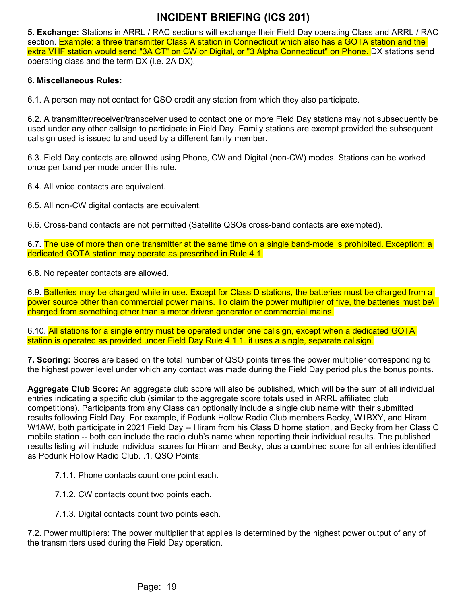**5. Exchange:** Stations in ARRL / RAC sections will exchange their Field Day operating Class and ARRL / RAC section. Example: a three transmitter Class A station in Connecticut which also has a GOTA station and the extra VHF station would send "3A CT" on CW or Digital, or "3 Alpha Connecticut" on Phone. DX stations send operating class and the term DX (i.e. 2A DX).

#### **6. Miscellaneous Rules:**

6.1. A person may not contact for QSO credit any station from which they also participate.

6.2. A transmitter/receiver/transceiver used to contact one or more Field Day stations may not subsequently be used under any other callsign to participate in Field Day. Family stations are exempt provided the subsequent callsign used is issued to and used by a different family member.

6.3. Field Day contacts are allowed using Phone, CW and Digital (non-CW) modes. Stations can be worked once per band per mode under this rule.

6.4. All voice contacts are equivalent.

6.5. All non-CW digital contacts are equivalent.

6.6. Cross-band contacts are not permitted (Satellite QSOs cross-band contacts are exempted).

6.7. The use of more than one transmitter at the same time on a single band-mode is prohibited. Exception: a dedicated GOTA station may operate as prescribed in Rule 4.1.

6.8. No repeater contacts are allowed.

6.9. Batteries may be charged while in use. Except for Class D stations, the batteries must be charged from a power source other than commercial power mains. To claim the power multiplier of five, the batteries must be\ charged from something other than a motor driven generator or commercial mains.

6.10. All stations for a single entry must be operated under one callsign, except when a dedicated GOTA station is operated as provided under Field Day Rule 4.1.1. it uses a single, separate callsign.

**7. Scoring:** Scores are based on the total number of QSO points times the power multiplier corresponding to the highest power level under which any contact was made during the Field Day period plus the bonus points.

**Aggregate Club Score:** An aggregate club score will also be published, which will be the sum of all individual entries indicating a specific club (similar to the aggregate score totals used in ARRL affiliated club competitions). Participants from any Class can optionally include a single club name with their submitted results following Field Day. For example, if Podunk Hollow Radio Club members Becky, W1BXY, and Hiram, W1AW, both participate in 2021 Field Day -- Hiram from his Class D home station, and Becky from her Class C mobile station -- both can include the radio club's name when reporting their individual results. The published results listing will include individual scores for Hiram and Becky, plus a combined score for all entries identified as Podunk Hollow Radio Club. .1. QSO Points:

- 7.1.1. Phone contacts count one point each.
- 7.1.2. CW contacts count two points each.
- 7.1.3. Digital contacts count two points each.

7.2. Power multipliers: The power multiplier that applies is determined by the highest power output of any of the transmitters used during the Field Day operation.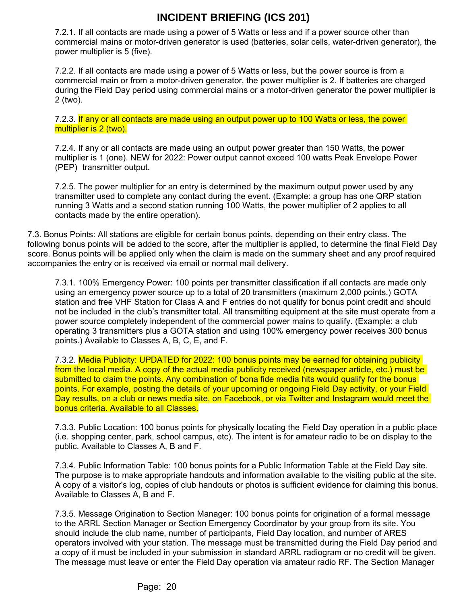7.2.1. If all contacts are made using a power of 5 Watts or less and if a power source other than commercial mains or motor-driven generator is used (batteries, solar cells, water-driven generator), the power multiplier is 5 (five).

7.2.2. If all contacts are made using a power of 5 Watts or less, but the power source is from a commercial main or from a motor-driven generator, the power multiplier is 2. If batteries are charged during the Field Day period using commercial mains or a motor-driven generator the power multiplier is 2 (two).

7.2.3. If any or all contacts are made using an output power up to 100 Watts or less, the power multiplier is 2 (two).

7.2.4. If any or all contacts are made using an output power greater than 150 Watts, the power multiplier is 1 (one). NEW for 2022: Power output cannot exceed 100 watts Peak Envelope Power (PEP) transmitter output.

7.2.5. The power multiplier for an entry is determined by the maximum output power used by any transmitter used to complete any contact during the event. (Example: a group has one QRP station running 3 Watts and a second station running 100 Watts, the power multiplier of 2 applies to all contacts made by the entire operation).

7.3. Bonus Points: All stations are eligible for certain bonus points, depending on their entry class. The following bonus points will be added to the score, after the multiplier is applied, to determine the final Field Day score. Bonus points will be applied only when the claim is made on the summary sheet and any proof required accompanies the entry or is received via email or normal mail delivery.

7.3.1. 100% Emergency Power: 100 points per transmitter classification if all contacts are made only using an emergency power source up to a total of 20 transmitters (maximum 2,000 points.) GOTA station and free VHF Station for Class A and F entries do not qualify for bonus point credit and should not be included in the club's transmitter total. All transmitting equipment at the site must operate from a power source completely independent of the commercial power mains to qualify. (Example: a club operating 3 transmitters plus a GOTA station and using 100% emergency power receives 300 bonus points.) Available to Classes A, B, C, E, and F.

7.3.2. Media Publicity: UPDATED for 2022: 100 bonus points may be earned for obtaining publicity from the local media. A copy of the actual media publicity received (newspaper article, etc.) must be submitted to claim the points. Any combination of bona fide media hits would qualify for the bonus points. For example, posting the details of your upcoming or ongoing Field Day activity, or your Field Day results, on a club or news media site, on Facebook, or via Twitter and Instagram would meet the bonus criteria. Available to all Classes.

7.3.3. Public Location: 100 bonus points for physically locating the Field Day operation in a public place (i.e. shopping center, park, school campus, etc). The intent is for amateur radio to be on display to the public. Available to Classes A, B and F.

7.3.4. Public Information Table: 100 bonus points for a Public Information Table at the Field Day site. The purpose is to make appropriate handouts and information available to the visiting public at the site. A copy of a visitor's log, copies of club handouts or photos is sufficient evidence for claiming this bonus. Available to Classes A, B and F.

7.3.5. Message Origination to Section Manager: 100 bonus points for origination of a formal message to the ARRL Section Manager or Section Emergency Coordinator by your group from its site. You should include the club name, number of participants, Field Day location, and number of ARES operators involved with your station. The message must be transmitted during the Field Day period and a copy of it must be included in your submission in standard ARRL radiogram or no credit will be given. The message must leave or enter the Field Day operation via amateur radio RF. The Section Manager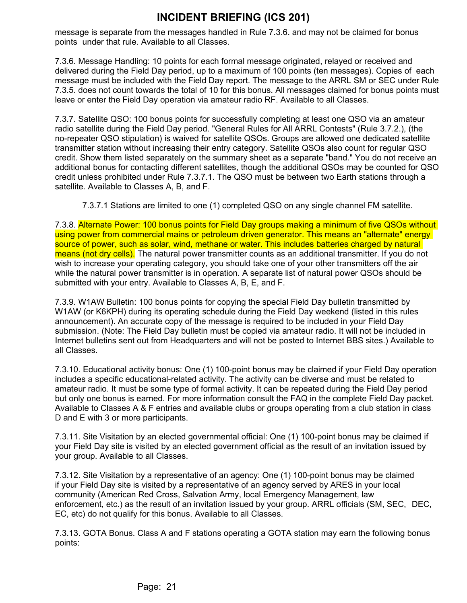message is separate from the messages handled in Rule 7.3.6. and may not be claimed for bonus points under that rule. Available to all Classes.

7.3.6. Message Handling: 10 points for each formal message originated, relayed or received and delivered during the Field Day period, up to a maximum of 100 points (ten messages). Copies of each message must be included with the Field Day report. The message to the ARRL SM or SEC under Rule 7.3.5. does not count towards the total of 10 for this bonus. All messages claimed for bonus points must leave or enter the Field Day operation via amateur radio RF. Available to all Classes.

7.3.7. Satellite QSO: 100 bonus points for successfully completing at least one QSO via an amateur radio satellite during the Field Day period. "General Rules for All ARRL Contests" (Rule 3.7.2.), (the no-repeater QSO stipulation) is waived for satellite QSOs. Groups are allowed one dedicated satellite transmitter station without increasing their entry category. Satellite QSOs also count for regular QSO credit. Show them listed separately on the summary sheet as a separate "band." You do not receive an additional bonus for contacting different satellites, though the additional QSOs may be counted for QSO credit unless prohibited under Rule 7.3.7.1. The QSO must be between two Earth stations through a satellite. Available to Classes A, B, and F.

7.3.7.1 Stations are limited to one (1) completed QSO on any single channel FM satellite.

7.3.8. Alternate Power: 100 bonus points for Field Day groups making a minimum of five QSOs without using power from commercial mains or petroleum driven generator. This means an "alternate" energy source of power, such as solar, wind, methane or water. This includes batteries charged by natural means (not dry cells). The natural power transmitter counts as an additional transmitter. If you do not wish to increase your operating category, you should take one of your other transmitters off the air while the natural power transmitter is in operation. A separate list of natural power QSOs should be submitted with your entry. Available to Classes A, B, E, and F.

7.3.9. W1AW Bulletin: 100 bonus points for copying the special Field Day bulletin transmitted by W1AW (or K6KPH) during its operating schedule during the Field Day weekend (listed in this rules announcement). An accurate copy of the message is required to be included in your Field Day submission. (Note: The Field Day bulletin must be copied via amateur radio. It will not be included in Internet bulletins sent out from Headquarters and will not be posted to Internet BBS sites.) Available to all Classes.

7.3.10. Educational activity bonus: One (1) 100-point bonus may be claimed if your Field Day operation includes a specific educational-related activity. The activity can be diverse and must be related to amateur radio. It must be some type of formal activity. It can be repeated during the Field Day period but only one bonus is earned. For more information consult the FAQ in the complete Field Day packet. Available to Classes A & F entries and available clubs or groups operating from a club station in class D and E with 3 or more participants.

7.3.11. Site Visitation by an elected governmental official: One (1) 100-point bonus may be claimed if your Field Day site is visited by an elected government official as the result of an invitation issued by your group. Available to all Classes.

7.3.12. Site Visitation by a representative of an agency: One (1) 100-point bonus may be claimed if your Field Day site is visited by a representative of an agency served by ARES in your local community (American Red Cross, Salvation Army, local Emergency Management, law enforcement, etc.) as the result of an invitation issued by your group. ARRL officials (SM, SEC, DEC, EC, etc) do not qualify for this bonus. Available to all Classes.

7.3.13. GOTA Bonus. Class A and F stations operating a GOTA station may earn the following bonus points: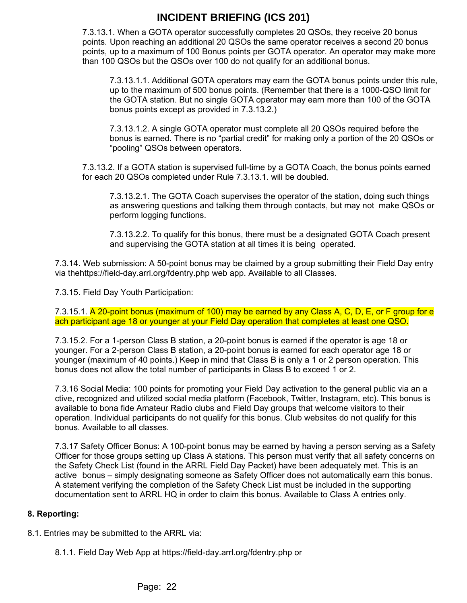7.3.13.1. When a GOTA operator successfully completes 20 QSOs, they receive 20 bonus points. Upon reaching an additional 20 QSOs the same operator receives a second 20 bonus points, up to a maximum of 100 Bonus points per GOTA operator. An operator may make more than 100 QSOs but the QSOs over 100 do not qualify for an additional bonus.

7.3.13.1.1. Additional GOTA operators may earn the GOTA bonus points under this rule, up to the maximum of 500 bonus points. (Remember that there is a 1000-QSO limit for the GOTA station. But no single GOTA operator may earn more than 100 of the GOTA bonus points except as provided in 7.3.13.2.)

7.3.13.1.2. A single GOTA operator must complete all 20 QSOs required before the bonus is earned. There is no "partial credit" for making only a portion of the 20 QSOs or "pooling" QSOs between operators.

7.3.13.2. If a GOTA station is supervised full-time by a GOTA Coach, the bonus points earned for each 20 QSOs completed under Rule 7.3.13.1. will be doubled.

7.3.13.2.1. The GOTA Coach supervises the operator of the station, doing such things as answering questions and talking them through contacts, but may not make QSOs or perform logging functions.

7.3.13.2.2. To qualify for this bonus, there must be a designated GOTA Coach present and supervising the GOTA station at all times it is being operated.

7.3.14. Web submission: A 50-point bonus may be claimed by a group submitting their Field Day entry via thehttps://field-day.arrl.org/fdentry.php web app. Available to all Classes.

7.3.15. Field Day Youth Participation:

7.3.15.1. A 20-point bonus (maximum of 100) may be earned by any Class A, C, D, E, or F group for e ach participant age 18 or younger at your Field Day operation that completes at least one QSO.

7.3.15.2. For a 1-person Class B station, a 20-point bonus is earned if the operator is age 18 or younger. For a 2-person Class B station, a 20-point bonus is earned for each operator age 18 or younger (maximum of 40 points.) Keep in mind that Class B is only a 1 or 2 person operation. This bonus does not allow the total number of participants in Class B to exceed 1 or 2.

7.3.16 Social Media: 100 points for promoting your Field Day activation to the general public via an a ctive, recognized and utilized social media platform (Facebook, Twitter, Instagram, etc). This bonus is available to bona fide Amateur Radio clubs and Field Day groups that welcome visitors to their operation. Individual participants do not qualify for this bonus. Club websites do not qualify for this bonus. Available to all classes.

7.3.17 Safety Officer Bonus: A 100-point bonus may be earned by having a person serving as a Safety Officer for those groups setting up Class A stations. This person must verify that all safety concerns on the Safety Check List (found in the ARRL Field Day Packet) have been adequately met. This is an active bonus – simply designating someone as Safety Officer does not automatically earn this bonus. A statement verifying the completion of the Safety Check List must be included in the supporting documentation sent to ARRL HQ in order to claim this bonus. Available to Class A entries only.

#### **8. Reporting:**

8.1. Entries may be submitted to the ARRL via:

8.1.1. Field Day Web App at https://field-day.arrl.org/fdentry.php or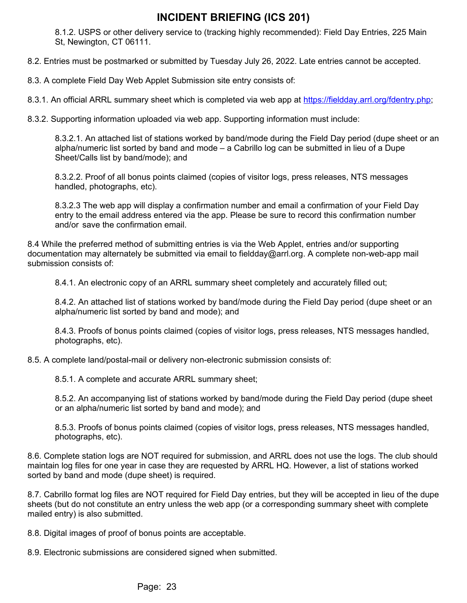8.1.2. USPS or other delivery service to (tracking highly recommended): Field Day Entries, 225 Main St, Newington, CT 06111.

8.2. Entries must be postmarked or submitted by Tuesday July 26, 2022. Late entries cannot be accepted.

8.3. A complete Field Day Web Applet Submission site entry consists of:

8.3.1. An official ARRL summary sheet which is completed via web app at <https://fieldday.arrl.org/fdentry.php>;

8.3.2. Supporting information uploaded via web app. Supporting information must include:

8.3.2.1. An attached list of stations worked by band/mode during the Field Day period (dupe sheet or an alpha/numeric list sorted by band and mode – a Cabrillo log can be submitted in lieu of a Dupe Sheet/Calls list by band/mode); and

8.3.2.2. Proof of all bonus points claimed (copies of visitor logs, press releases, NTS messages handled, photographs, etc).

8.3.2.3 The web app will display a confirmation number and email a confirmation of your Field Day entry to the email address entered via the app. Please be sure to record this confirmation number and/or save the confirmation email.

8.4 While the preferred method of submitting entries is via the Web Applet, entries and/or supporting documentation may alternately be submitted via email to fieldday@arrl.org. A complete non-web-app mail submission consists of:

8.4.1. An electronic copy of an ARRL summary sheet completely and accurately filled out;

8.4.2. An attached list of stations worked by band/mode during the Field Day period (dupe sheet or an alpha/numeric list sorted by band and mode); and

8.4.3. Proofs of bonus points claimed (copies of visitor logs, press releases, NTS messages handled, photographs, etc).

8.5. A complete land/postal-mail or delivery non-electronic submission consists of:

8.5.1. A complete and accurate ARRL summary sheet;

8.5.2. An accompanying list of stations worked by band/mode during the Field Day period (dupe sheet or an alpha/numeric list sorted by band and mode); and

8.5.3. Proofs of bonus points claimed (copies of visitor logs, press releases, NTS messages handled, photographs, etc).

8.6. Complete station logs are NOT required for submission, and ARRL does not use the logs. The club should maintain log files for one year in case they are requested by ARRL HQ. However, a list of stations worked sorted by band and mode (dupe sheet) is required.

8.7. Cabrillo format log files are NOT required for Field Day entries, but they will be accepted in lieu of the dupe sheets (but do not constitute an entry unless the web app (or a corresponding summary sheet with complete mailed entry) is also submitted.

8.8. Digital images of proof of bonus points are acceptable.

8.9. Electronic submissions are considered signed when submitted.